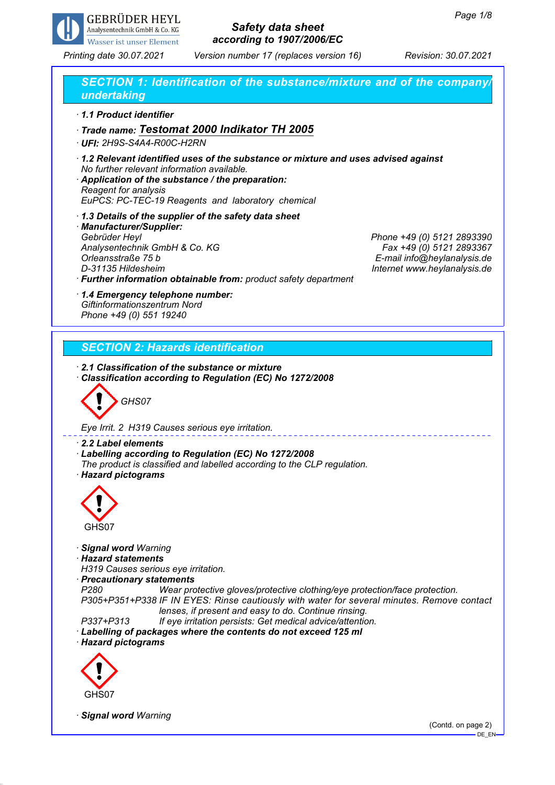

*Printing date 30.07.2021 Version number 17 (replaces version 16) Revision: 30.07.2021*

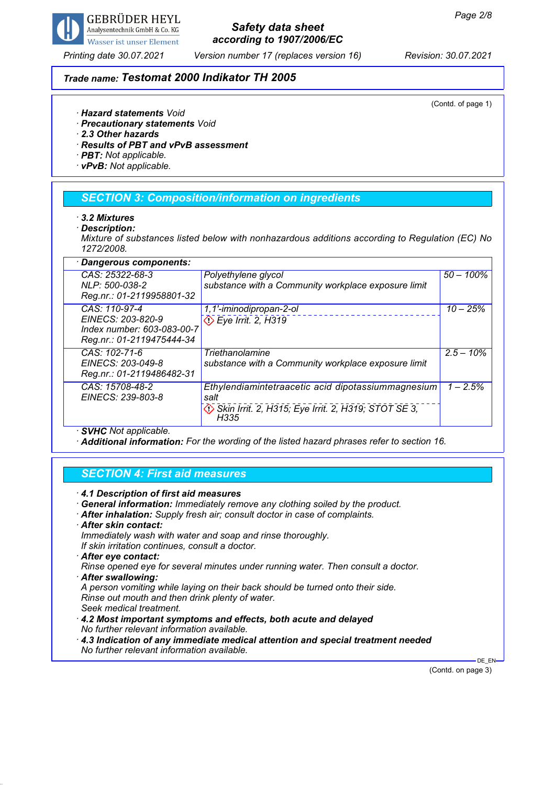

*Printing date 30.07.2021 Version number 17 (replaces version 16) Revision: 30.07.2021*

## *Trade name: Testomat 2000 Indikator TH 2005*

(Contd. of page 1)

- *· Hazard statements Void*
- *· Precautionary statements Void*
- *· 2.3 Other hazards*
- *· Results of PBT and vPvB assessment*
- *· PBT: Not applicable.*
- *· vPvB: Not applicable.*

## *SECTION 3: Composition/information on ingredients*

- *· 3.2 Mixtures*
- *· Description:*

*Mixture of substances listed below with nonhazardous additions according to Regulation (EC) No 1272/2008.*

| · Dangerous components:                                                                       |                                                                                                                           |              |  |
|-----------------------------------------------------------------------------------------------|---------------------------------------------------------------------------------------------------------------------------|--------------|--|
| CAS: 25322-68-3<br>NLP: 500-038-2<br>Reg.nr.: 01-2119958801-32                                | Polyethylene glycol<br>substance with a Community workplace exposure limit                                                | $50 - 100\%$ |  |
| CAS: 110-97-4<br>EINECS: 203-820-9<br>Index number: 603-083-00-7<br>Reg.nr.: 01-2119475444-34 | 1,1'-iminodipropan-2-ol<br>$\Diamond$ Eye Irrit. 2, H319                                                                  | $10 - 25%$   |  |
| CAS: 102-71-6<br>EINECS: 203-049-8<br>Reg.nr.: 01-2119486482-31                               | Triethanolamine<br>substance with a Community workplace exposure limit                                                    | $2.5 - 10\%$ |  |
| CAS: 15708-48-2<br>EINECS: 239-803-8                                                          | Ethylendiamintetraacetic acid dipotassiummagnesium<br>salt<br>Skin Irrit. 2, H315; Eye Irrit. 2, H319; STOT SE 3,<br>H335 | $1 - 2.5%$   |  |

*· SVHC Not applicable.*

*· Additional information: For the wording of the listed hazard phrases refer to section 16.*

#### *SECTION 4: First aid measures*

- *· 4.1 Description of first aid measures*
- *· General information: Immediately remove any clothing soiled by the product.*
- *· After inhalation: Supply fresh air; consult doctor in case of complaints.*
- *· After skin contact:*
- *Immediately wash with water and soap and rinse thoroughly. If skin irritation continues, consult a doctor.*
- *· After eye contact:*
- *Rinse opened eye for several minutes under running water. Then consult a doctor.*
- *· After swallowing:*
- *A person vomiting while laying on their back should be turned onto their side. Rinse out mouth and then drink plenty of water.*
- *Seek medical treatment.*
- *· 4.2 Most important symptoms and effects, both acute and delayed No further relevant information available.*
- *· 4.3 Indication of any immediate medical attention and special treatment needed No further relevant information available.*

(Contd. on page 3)

DE\_EN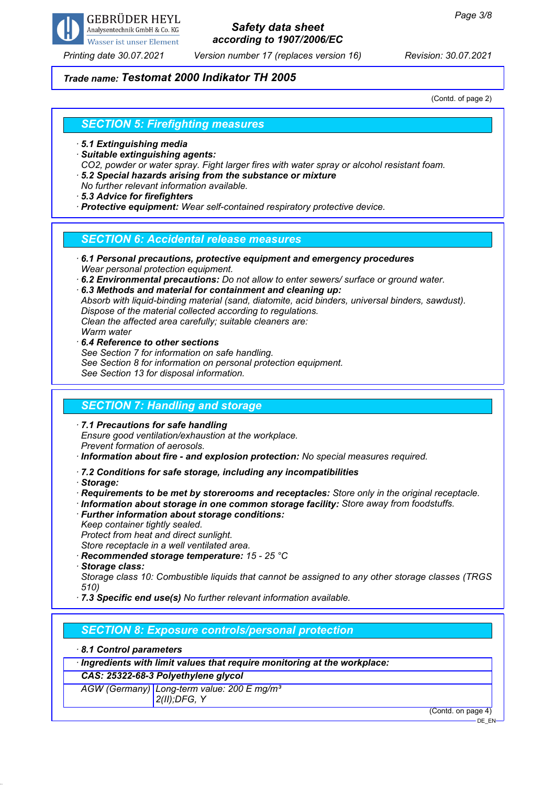

*Printing date 30.07.2021 Version number 17 (replaces version 16) Revision: 30.07.2021*

## *Trade name: Testomat 2000 Indikator TH 2005*

(Contd. of page 2)

#### *SECTION 5: Firefighting measures*

- *· 5.1 Extinguishing media*
- *· Suitable extinguishing agents:*
- *CO2, powder or water spray. Fight larger fires with water spray or alcohol resistant foam.*
- *· 5.2 Special hazards arising from the substance or mixture*
- *No further relevant information available.*
- *· 5.3 Advice for firefighters*
- *· Protective equipment: Wear self-contained respiratory protective device.*

## *SECTION 6: Accidental release measures*

- *· 6.1 Personal precautions, protective equipment and emergency procedures Wear personal protection equipment.*
- *· 6.2 Environmental precautions: Do not allow to enter sewers/ surface or ground water.*
- *· 6.3 Methods and material for containment and cleaning up: Absorb with liquid-binding material (sand, diatomite, acid binders, universal binders, sawdust). Dispose of the material collected according to regulations. Clean the affected area carefully; suitable cleaners are: Warm water*
- *· 6.4 Reference to other sections See Section 7 for information on safe handling. See Section 8 for information on personal protection equipment. See Section 13 for disposal information.*

## *SECTION 7: Handling and storage*

- *· 7.1 Precautions for safe handling Ensure good ventilation/exhaustion at the workplace. Prevent formation of aerosols.*
- *· Information about fire and explosion protection: No special measures required.*
- *· 7.2 Conditions for safe storage, including any incompatibilities*
- *· Storage:*
- *· Requirements to be met by storerooms and receptacles: Store only in the original receptacle.*
- *· Information about storage in one common storage facility: Store away from foodstuffs.*
- *· Further information about storage conditions:*
- *Keep container tightly sealed.*

*Protect from heat and direct sunlight.*

*Store receptacle in a well ventilated area.*

- *· Recommended storage temperature: 15 25 °C*
- *· Storage class:*

*Storage class 10: Combustible liquids that cannot be assigned to any other storage classes (TRGS 510)*

*· 7.3 Specific end use(s) No further relevant information available.*

## *SECTION 8: Exposure controls/personal protection*

#### *· 8.1 Control parameters*

*· Ingredients with limit values that require monitoring at the workplace:*

*CAS: 25322-68-3 Polyethylene glycol*

*AGW (Germany) Long-term value: 200 E mg/m³ 2(II);DFG, Y*

(Contd. on page 4)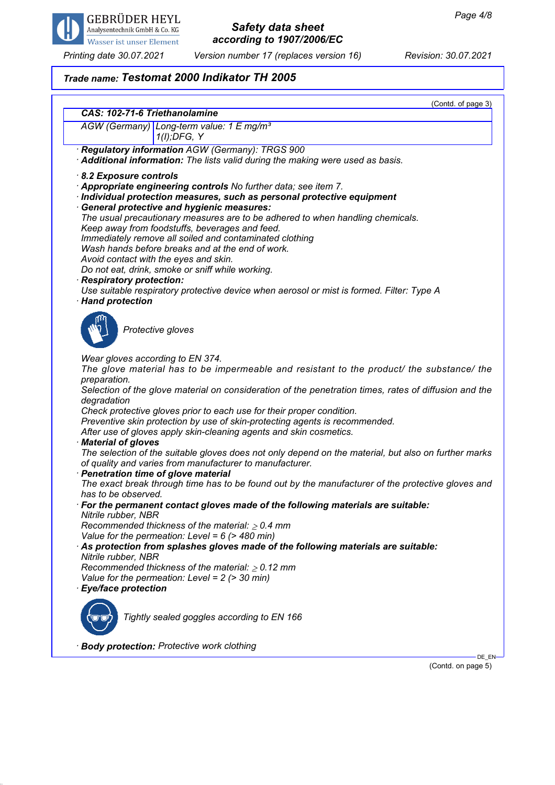

*Printing date 30.07.2021 Version number 17 (replaces version 16) Revision: 30.07.2021*

(Contd. on page 5)

# *Trade name: Testomat 2000 Indikator TH 2005*

|                                                                                                                                                                                                                                                                                                                                                                                                                                                                                                                                                                                                                                                                                                                                                                                                                                                                                                                                                                                                                                                                                                                                                                                                                                                                                                                                                                 | (Contd. of page 3) |  |
|-----------------------------------------------------------------------------------------------------------------------------------------------------------------------------------------------------------------------------------------------------------------------------------------------------------------------------------------------------------------------------------------------------------------------------------------------------------------------------------------------------------------------------------------------------------------------------------------------------------------------------------------------------------------------------------------------------------------------------------------------------------------------------------------------------------------------------------------------------------------------------------------------------------------------------------------------------------------------------------------------------------------------------------------------------------------------------------------------------------------------------------------------------------------------------------------------------------------------------------------------------------------------------------------------------------------------------------------------------------------|--------------------|--|
| CAS: 102-71-6 Triethanolamine<br>AGW (Germany) Long-term value: 1 E mg/m <sup>3</sup><br>$1(I);$ DFG, Y                                                                                                                                                                                                                                                                                                                                                                                                                                                                                                                                                                                                                                                                                                                                                                                                                                                                                                                                                                                                                                                                                                                                                                                                                                                         |                    |  |
| Regulatory information AGW (Germany): TRGS 900<br>Additional information: The lists valid during the making were used as basis.                                                                                                                                                                                                                                                                                                                                                                                                                                                                                                                                                                                                                                                                                                                                                                                                                                                                                                                                                                                                                                                                                                                                                                                                                                 |                    |  |
| 8.2 Exposure controls<br>Appropriate engineering controls No further data; see item 7.<br>Individual protection measures, such as personal protective equipment<br>General protective and hygienic measures:<br>The usual precautionary measures are to be adhered to when handling chemicals.<br>Keep away from foodstuffs, beverages and feed.<br>Immediately remove all soiled and contaminated clothing<br>Wash hands before breaks and at the end of work.<br>Avoid contact with the eyes and skin.<br>Do not eat, drink, smoke or sniff while working.<br>· Respiratory protection:<br>Use suitable respiratory protective device when aerosol or mist is formed. Filter: Type A<br>· Hand protection                                                                                                                                                                                                                                                                                                                                                                                                                                                                                                                                                                                                                                                     |                    |  |
| Protective gloves                                                                                                                                                                                                                                                                                                                                                                                                                                                                                                                                                                                                                                                                                                                                                                                                                                                                                                                                                                                                                                                                                                                                                                                                                                                                                                                                               |                    |  |
| Wear gloves according to EN 374.<br>The glove material has to be impermeable and resistant to the product/ the substance/ the<br>preparation.<br>Selection of the glove material on consideration of the penetration times, rates of diffusion and the<br>degradation<br>Check protective gloves prior to each use for their proper condition.<br>Preventive skin protection by use of skin-protecting agents is recommended.<br>After use of gloves apply skin-cleaning agents and skin cosmetics.<br><b>Material of gloves</b><br>The selection of the suitable gloves does not only depend on the material, but also on further marks<br>of quality and varies from manufacturer to manufacturer.<br>· Penetration time of glove material<br>The exact break through time has to be found out by the manufacturer of the protective gloves and<br>has to be observed.<br>$\cdot$ For the permanent contact gloves made of the following materials are suitable:<br>Nitrile rubber, NBR<br>Recommended thickness of the material: $\geq 0.4$ mm<br>Value for the permeation: Level = $6$ (> 480 min)<br>As protection from splashes gloves made of the following materials are suitable:<br>Nitrile rubber, NBR<br>Recommended thickness of the material: $\geq 0.12$ mm<br>Value for the permeation: Level = $2$ ( $>$ 30 min)<br><b>Eye/face protection</b> |                    |  |
| Tightly sealed goggles according to EN 166                                                                                                                                                                                                                                                                                                                                                                                                                                                                                                                                                                                                                                                                                                                                                                                                                                                                                                                                                                                                                                                                                                                                                                                                                                                                                                                      |                    |  |
| · Body protection: Protective work clothing                                                                                                                                                                                                                                                                                                                                                                                                                                                                                                                                                                                                                                                                                                                                                                                                                                                                                                                                                                                                                                                                                                                                                                                                                                                                                                                     | DE_EN-             |  |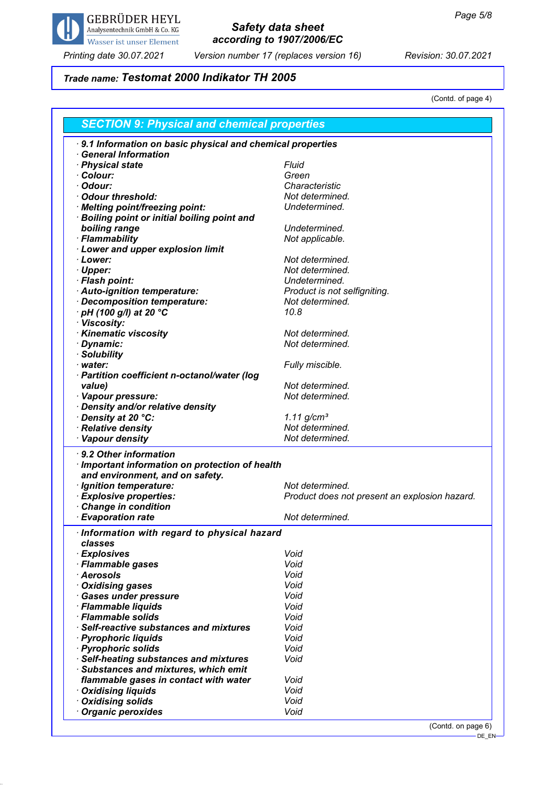

*Printing date 30.07.2021 Version number 17 (replaces version 16) Revision: 30.07.2021*

# *Trade name: Testomat 2000 Indikator TH 2005*

(Contd. of page 4)

| <b>SECTION 9: Physical and chemical properties</b>                           |                                               |  |
|------------------------------------------------------------------------------|-----------------------------------------------|--|
| 9.1 Information on basic physical and chemical properties                    |                                               |  |
| <b>General Information</b>                                                   |                                               |  |
| · Physical state                                                             | Fluid                                         |  |
| Colour:                                                                      | Green                                         |  |
| Odour:                                                                       | Characteristic                                |  |
| <b>Odour threshold:</b>                                                      | Not determined.                               |  |
| · Melting point/freezing point:                                              | Undetermined.                                 |  |
| <b>Boiling point or initial boiling point and</b>                            |                                               |  |
| boiling range                                                                | Undetermined.                                 |  |
| · Flammability                                                               | Not applicable.                               |  |
| <b>Lower and upper explosion limit</b>                                       |                                               |  |
| · Lower:                                                                     | Not determined.                               |  |
|                                                                              | Not determined.                               |  |
| · Upper:                                                                     |                                               |  |
| · Flash point:                                                               | Undetermined.                                 |  |
| Auto-ignition temperature:                                                   | Product is not selfigniting.                  |  |
| Decomposition temperature:                                                   | Not determined.                               |  |
| $\cdot$ pH (100 g/l) at 20 $\degree$ C                                       | 10.8                                          |  |
| · Viscosity:                                                                 |                                               |  |
| · Kinematic viscosity                                                        | Not determined.                               |  |
| · Dynamic:                                                                   | Not determined.                               |  |
| · Solubility                                                                 |                                               |  |
| · water:                                                                     | Fully miscible.                               |  |
| · Partition coefficient n-octanol/water (log                                 |                                               |  |
| value)                                                                       | Not determined.                               |  |
| · Vapour pressure:                                                           | Not determined.                               |  |
| Density and/or relative density                                              |                                               |  |
| Density at 20 °C:                                                            | $1.11$ g/cm <sup>3</sup>                      |  |
| Relative density                                                             | Not determined.                               |  |
| · Vapour density                                                             | Not determined.                               |  |
|                                                                              |                                               |  |
| 9.2 Other information                                                        |                                               |  |
| Important information on protection of health                                |                                               |  |
| and environment, and on safety.                                              |                                               |  |
| · Ignition temperature:                                                      | Not determined.                               |  |
| <b>Explosive properties:</b>                                                 | Product does not present an explosion hazard. |  |
| <b>Change in condition</b>                                                   |                                               |  |
| <b>Evaporation rate</b>                                                      | Not determined.                               |  |
| Information with regard to physical hazard                                   |                                               |  |
| classes                                                                      |                                               |  |
| · Explosives                                                                 | Void                                          |  |
| · Flammable gases                                                            | Void                                          |  |
| <b>Aerosols</b>                                                              | Void                                          |  |
|                                                                              | Void                                          |  |
| <b>Oxidising gases</b>                                                       | Void                                          |  |
| <b>Gases under pressure</b>                                                  |                                               |  |
| · Flammable liquids                                                          | Void                                          |  |
| · Flammable solids                                                           | Void                                          |  |
| Self-reactive substances and mixtures                                        | Void                                          |  |
| · Pyrophoric liquids                                                         | Void                                          |  |
| · Pyrophoric solids                                                          | Void                                          |  |
| <b>Self-heating substances and mixtures</b>                                  | Void                                          |  |
|                                                                              |                                               |  |
|                                                                              |                                               |  |
|                                                                              | Void                                          |  |
| Substances and mixtures, which emit<br>flammable gases in contact with water | Void                                          |  |
| <b>Oxidising liquids</b>                                                     |                                               |  |
| <b>Oxidising solids</b><br><b>Organic peroxides</b>                          | Void<br>Void                                  |  |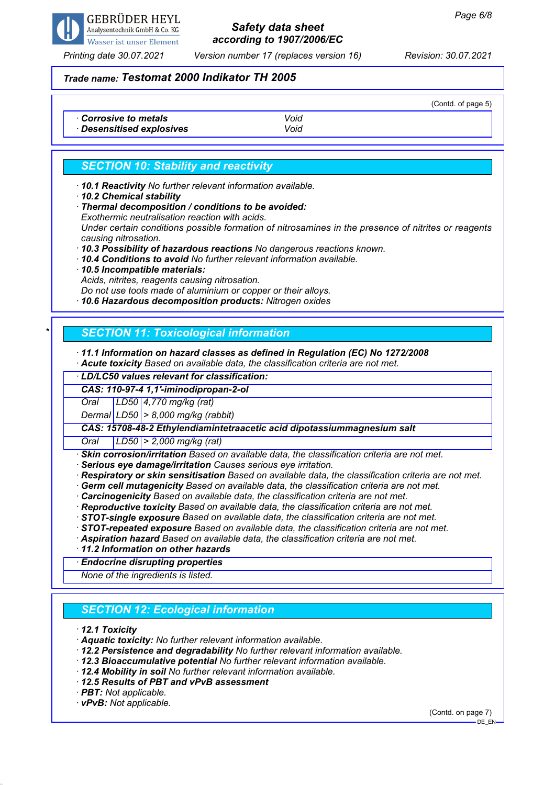

*Printing date 30.07.2021 Version number 17 (replaces version 16) Revision: 30.07.2021*

## *Trade name: Testomat 2000 Indikator TH 2005*

|                                                |              | (Contd. of page 5) |
|------------------------------------------------|--------------|--------------------|
| Corrosive to metals<br>Desensitised explosives | Void<br>Void |                    |

## *SECTION 10: Stability and reactivity*

*· 10.1 Reactivity No further relevant information available.*

- *· 10.2 Chemical stability*
- *· Thermal decomposition / conditions to be avoided: Exothermic neutralisation reaction with acids.*

*Under certain conditions possible formation of nitrosamines in the presence of nitrites or reagents causing nitrosation.*

*· 10.3 Possibility of hazardous reactions No dangerous reactions known.*

- *· 10.4 Conditions to avoid No further relevant information available.*
- *· 10.5 Incompatible materials:*

*Acids, nitrites, reagents causing nitrosation.*

*Do not use tools made of aluminium or copper or their alloys.*

*· 10.6 Hazardous decomposition products: Nitrogen oxides*

## *\* SECTION 11: Toxicological information*

#### *· 11.1 Information on hazard classes as defined in Regulation (EC) No 1272/2008*

*· Acute toxicity Based on available data, the classification criteria are not met.*

*· LD/LC50 values relevant for classification:*

*CAS: 110-97-4 1,1'-iminodipropan-2-ol*

*Oral LD50 4,770 mg/kg (rat)*

*Dermal LD50 > 8,000 mg/kg (rabbit)*

*CAS: 15708-48-2 Ethylendiamintetraacetic acid dipotassiummagnesium salt*

*Oral LD50 > 2,000 mg/kg (rat)*

*· Skin corrosion/irritation Based on available data, the classification criteria are not met.*

*· Serious eye damage/irritation Causes serious eye irritation.*

*· Respiratory or skin sensitisation Based on available data, the classification criteria are not met.*

*· Germ cell mutagenicity Based on available data, the classification criteria are not met.*

*· Carcinogenicity Based on available data, the classification criteria are not met.*

*· Reproductive toxicity Based on available data, the classification criteria are not met.*

*· STOT-single exposure Based on available data, the classification criteria are not met.*

*· STOT-repeated exposure Based on available data, the classification criteria are not met.*

*· Aspiration hazard Based on available data, the classification criteria are not met.*

*· 11.2 Information on other hazards*

*· Endocrine disrupting properties*

*None of the ingredients is listed.*

## *SECTION 12: Ecological information*

*· 12.1 Toxicity*

- *· Aquatic toxicity: No further relevant information available.*
- *· 12.2 Persistence and degradability No further relevant information available.*
- *· 12.3 Bioaccumulative potential No further relevant information available.*
- *· 12.4 Mobility in soil No further relevant information available.*
- *· 12.5 Results of PBT and vPvB assessment*
- *· PBT: Not applicable.*
- *· vPvB: Not applicable.*

(Contd. on page 7)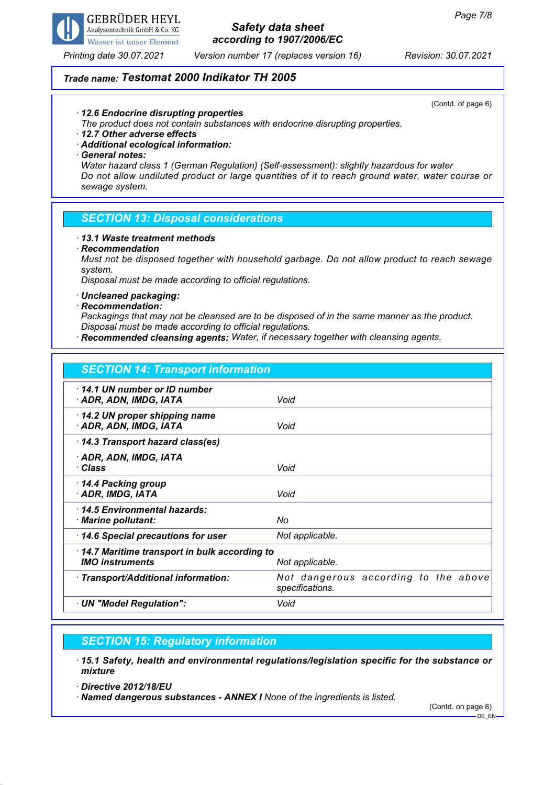

*Printing date 30.07.2021 Version number 17 (replaces version 16) Revision: 30.07.2021*

## *Trade name: Testomat 2000 Indikator TH 2005*

(Contd. of page 6)

#### *· 12.6 Endocrine disrupting properties*

*The product does not contain substances with endocrine disrupting properties.*

### *· 12.7 Other adverse effects*

*· Additional ecological information:*

#### *· General notes:*

*Water hazard class 1 (German Regulation) (Self-assessment): slightly hazardous for water Do not allow undiluted product or large quantities of it to reach ground water, water course or sewage system.*

#### *SECTION 13: Disposal considerations*

#### *· 13.1 Waste treatment methods*

#### *· Recommendation*

*Must not be disposed together with household garbage. Do not allow product to reach sewage system.*

*Disposal must be made according to official regulations.*

## *· Uncleaned packaging:*

#### *· Recommendation:*

*Packagings that may not be cleansed are to be disposed of in the same manner as the product. Disposal must be made according to official regulations.*

*· Recommended cleansing agents: Water, if necessary together with cleansing agents.*

# *SECTION 14: Transport information*

| 14.1 UN number or ID number<br>· ADR, ADN, IMDG, IATA                  | Void                                                    |
|------------------------------------------------------------------------|---------------------------------------------------------|
| 14.2 UN proper shipping name<br>· ADR, ADN, IMDG, IATA                 | Void                                                    |
| 14.3 Transport hazard class(es)                                        |                                                         |
| · ADR, ADN, IMDG, IATA<br>∙ Class                                      | Void                                                    |
| 14.4 Packing group<br>· ADR, IMDG, IATA                                | Void                                                    |
| 14.5 Environmental hazards:<br>· Marine pollutant:                     | No                                                      |
| 14.6 Special precautions for user                                      | Not applicable.                                         |
| 14.7 Maritime transport in bulk according to<br><b>IMO</b> instruments | Not applicable.                                         |
| · Transport/Additional information:                                    | Not dangerous according to the above<br>specifications. |
| · UN "Model Regulation":                                               | Void                                                    |

## *SECTION 15: Regulatory information*

*· 15.1 Safety, health and environmental regulations/legislation specific for the substance or mixture*

*· Directive 2012/18/EU*

*· Named dangerous substances - ANNEX I None of the ingredients is listed.*

(Contd. on page 8) DE\_EN